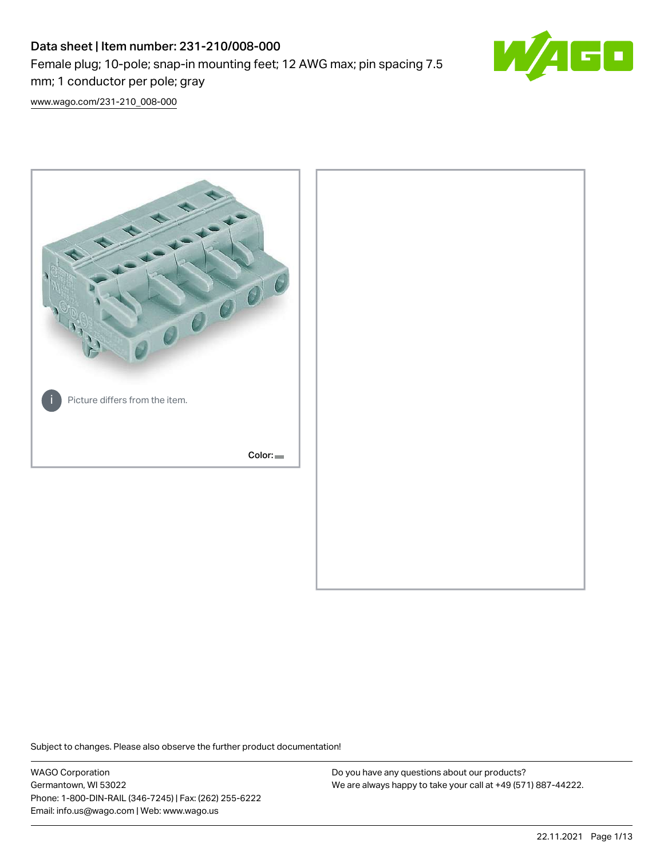# Data sheet | Item number: 231-210/008-000 Female plug; 10-pole; snap-in mounting feet; 12 AWG max; pin spacing 7.5 mm; 1 conductor per pole; gray



[www.wago.com/231-210\\_008-000](http://www.wago.com/231-210_008-000)



Subject to changes. Please also observe the further product documentation!

WAGO Corporation Germantown, WI 53022 Phone: 1-800-DIN-RAIL (346-7245) | Fax: (262) 255-6222 Email: info.us@wago.com | Web: www.wago.us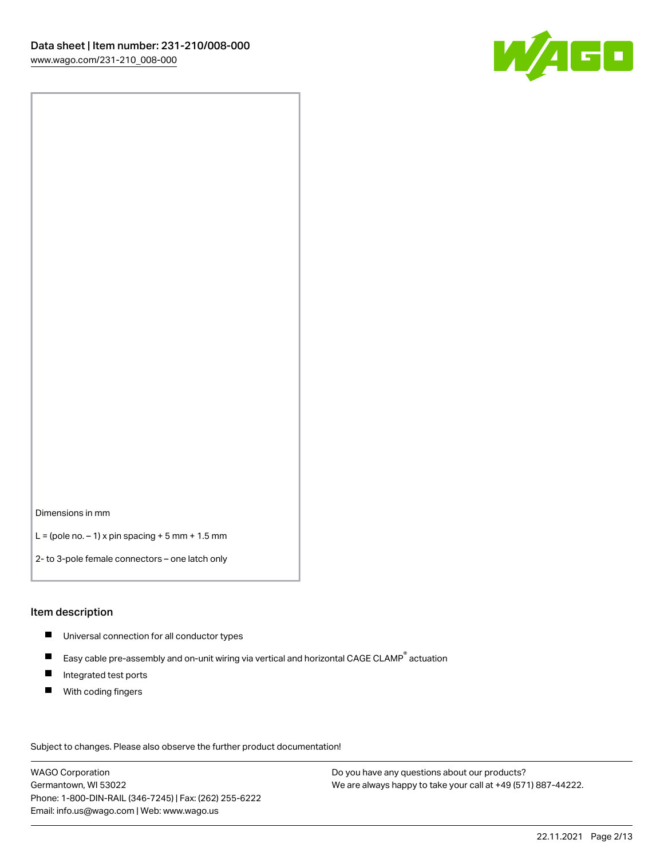

Dimensions in mm

 $L =$  (pole no.  $-1$ ) x pin spacing  $+5$  mm  $+ 1.5$  mm

2- to 3-pole female connectors – one latch only

#### Item description

- **Universal connection for all conductor types**
- Easy cable pre-assembly and on-unit wiring via vertical and horizontal CAGE CLAMP<sup>®</sup> actuation  $\blacksquare$
- $\blacksquare$ Integrated test ports
- $\blacksquare$ With coding fingers

Subject to changes. Please also observe the further product documentation! Data

WAGO Corporation Germantown, WI 53022 Phone: 1-800-DIN-RAIL (346-7245) | Fax: (262) 255-6222 Email: info.us@wago.com | Web: www.wago.us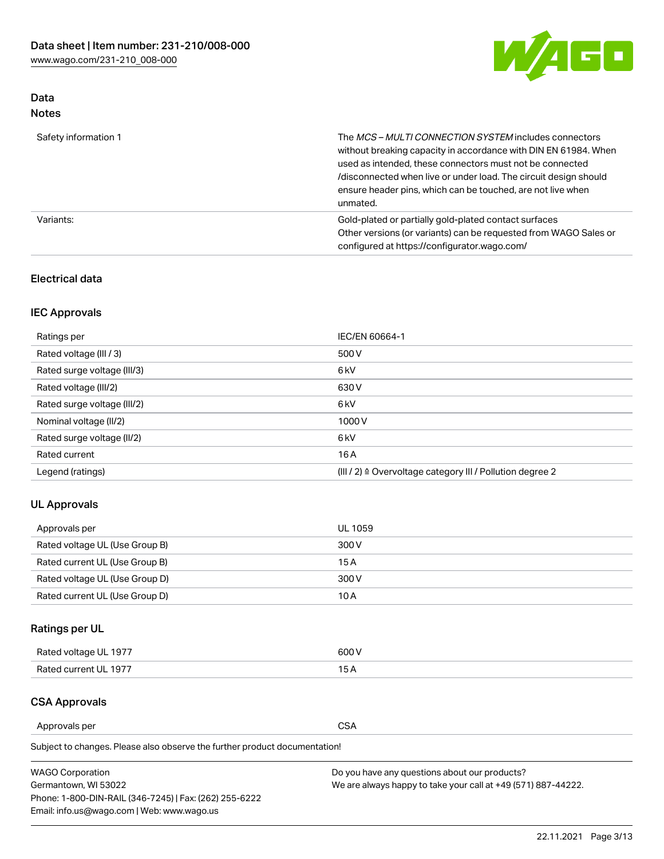

# Data Notes

| Safety information 1 | The MCS-MULTI CONNECTION SYSTEM includes connectors<br>without breaking capacity in accordance with DIN EN 61984. When<br>used as intended, these connectors must not be connected<br>/disconnected when live or under load. The circuit design should<br>ensure header pins, which can be touched, are not live when<br>unmated. |
|----------------------|-----------------------------------------------------------------------------------------------------------------------------------------------------------------------------------------------------------------------------------------------------------------------------------------------------------------------------------|
| Variants:            | Gold-plated or partially gold-plated contact surfaces<br>Other versions (or variants) can be requested from WAGO Sales or<br>configured at https://configurator.wago.com/                                                                                                                                                         |

## Electrical data

# IEC Approvals

| Ratings per                 | IEC/EN 60664-1                                                        |
|-----------------------------|-----------------------------------------------------------------------|
| Rated voltage (III / 3)     | 500 V                                                                 |
| Rated surge voltage (III/3) | 6 <sub>kV</sub>                                                       |
| Rated voltage (III/2)       | 630 V                                                                 |
| Rated surge voltage (III/2) | 6 <sub>kV</sub>                                                       |
| Nominal voltage (II/2)      | 1000V                                                                 |
| Rated surge voltage (II/2)  | 6 <sub>kV</sub>                                                       |
| Rated current               | 16A                                                                   |
| Legend (ratings)            | $(III / 2)$ $\triangle$ Overvoltage category III / Pollution degree 2 |

## UL Approvals

| Approvals per                  | UL 1059 |
|--------------------------------|---------|
| Rated voltage UL (Use Group B) | 300 V   |
| Rated current UL (Use Group B) | 15 A    |
| Rated voltage UL (Use Group D) | 300 V   |
| Rated current UL (Use Group D) | 10 A    |

# Ratings per UL

| Rated voltage UL 1977 | 300 V |
|-----------------------|-------|
| Rated current UL 1977 |       |

## CSA Approvals

Approvals per CSA

Subject to changes. Please also observe the further product documentation!

| <b>WAGO Corporation</b>                                | Do you have any questions about our products?                 |
|--------------------------------------------------------|---------------------------------------------------------------|
| Germantown, WI 53022                                   | We are always happy to take your call at +49 (571) 887-44222. |
| Phone: 1-800-DIN-RAIL (346-7245)   Fax: (262) 255-6222 |                                                               |
| Email: info.us@wago.com   Web: www.wago.us             |                                                               |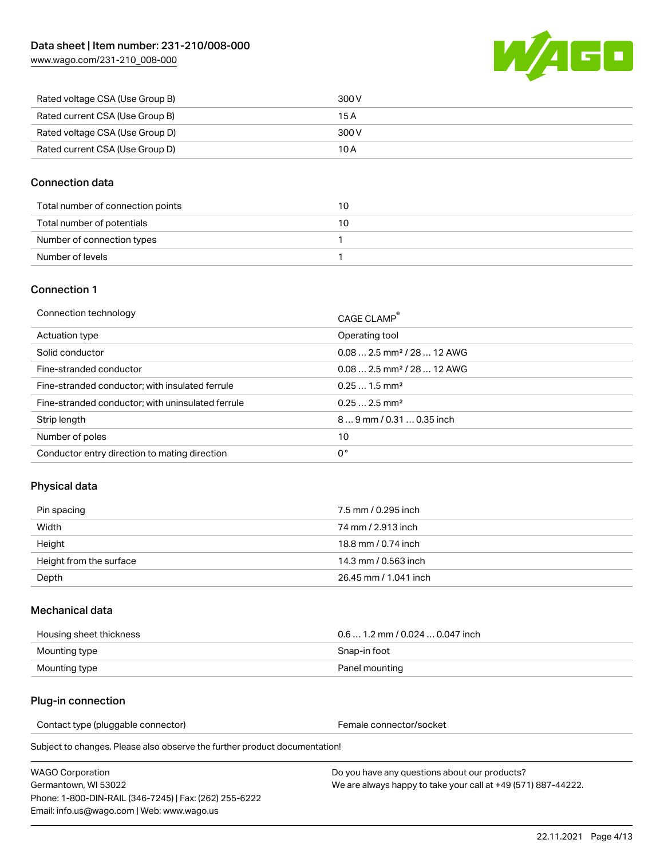

| Rated voltage CSA (Use Group B) | 300 V |
|---------------------------------|-------|
| Rated current CSA (Use Group B) | 15 A  |
| Rated voltage CSA (Use Group D) | 300 V |
| Rated current CSA (Use Group D) | 10 A  |

## Connection data

| Total number of connection points | 10 |
|-----------------------------------|----|
| Total number of potentials        | 10 |
| Number of connection types        |    |
| Number of levels                  |    |

## Connection 1

| Connection technology                             | CAGE CLAMP®                             |
|---------------------------------------------------|-----------------------------------------|
| Actuation type                                    | Operating tool                          |
| Solid conductor                                   | $0.082.5$ mm <sup>2</sup> / 28  12 AWG  |
| Fine-stranded conductor                           | $0.08$ 2.5 mm <sup>2</sup> / 28  12 AWG |
| Fine-stranded conductor; with insulated ferrule   | $0.251.5$ mm <sup>2</sup>               |
| Fine-stranded conductor; with uninsulated ferrule | $0.252.5$ mm <sup>2</sup>               |
| Strip length                                      | $89$ mm $/ 0.310.35$ inch               |
| Number of poles                                   | 10                                      |
| Conductor entry direction to mating direction     | 0°                                      |

## Physical data

| Pin spacing             | 7.5 mm / 0.295 inch   |
|-------------------------|-----------------------|
| Width                   | 74 mm / 2.913 inch    |
| Height                  | 18.8 mm / 0.74 inch   |
| Height from the surface | 14.3 mm / 0.563 inch  |
| Depth                   | 26.45 mm / 1.041 inch |

## Mechanical data

| Housing sheet thickness | $0.61.2$ mm $/0.0240.047$ inch |
|-------------------------|--------------------------------|
| Mounting type           | Snap-in foot                   |
| Mounting type           | Panel mounting                 |

## Plug-in connection

Contact type (pluggable connector) example a set of the Female connector/socket

Subject to changes. Please also observe the further product documentation!

| WAGO Corporation                                       |  |
|--------------------------------------------------------|--|
| Germantown. WI 53022                                   |  |
| Phone: 1-800-DIN-RAIL (346-7245)   Fax: (262) 255-6222 |  |
| Email: info.us@wago.com   Web: www.wago.us             |  |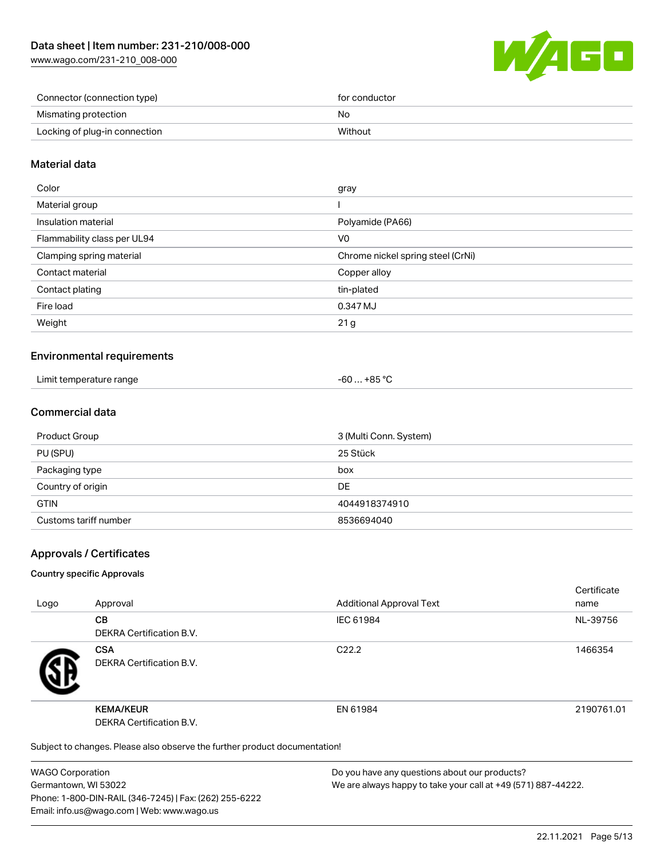

| Connector (connection type)   | for conductor |
|-------------------------------|---------------|
| Mismating protection          | No            |
| Locking of plug-in connection | Without       |

## Material data

| Color                       | gray                              |
|-----------------------------|-----------------------------------|
| Material group              |                                   |
| Insulation material         | Polyamide (PA66)                  |
| Flammability class per UL94 | V <sub>0</sub>                    |
| Clamping spring material    | Chrome nickel spring steel (CrNi) |
| Contact material            | Copper alloy                      |
| Contact plating             | tin-plated                        |
| Fire load                   | 0.347 MJ                          |
| Weight                      | 21 g                              |
|                             |                                   |

## Environmental requirements

| Limit temperature range | . +85 °Ր |
|-------------------------|----------|
| .                       | -60      |
|                         |          |

## Commercial data

| Product Group         | 3 (Multi Conn. System) |
|-----------------------|------------------------|
| PU (SPU)              | 25 Stück               |
| Packaging type        | box                    |
| Country of origin     | DE                     |
| <b>GTIN</b>           | 4044918374910          |
| Customs tariff number | 8536694040             |

## Approvals / Certificates

#### Country specific Approvals

| Logo | Approval                                                                   | <b>Additional Approval Text</b> | Certificate<br>name |  |
|------|----------------------------------------------------------------------------|---------------------------------|---------------------|--|
|      | <b>CB</b><br><b>DEKRA Certification B.V.</b>                               | IEC 61984                       | NL-39756            |  |
|      | <b>CSA</b><br><b>DEKRA Certification B.V.</b>                              | C <sub>22.2</sub>               | 1466354             |  |
|      | <b>KEMA/KEUR</b><br><b>DEKRA Certification B.V.</b>                        | EN 61984                        | 2190761.01          |  |
|      | Subject to changes. Please also observe the further product documentation! |                                 |                     |  |

WAGO Corporation Germantown, WI 53022 Phone: 1-800-DIN-RAIL (346-7245) | Fax: (262) 255-6222 Email: info.us@wago.com | Web: www.wago.us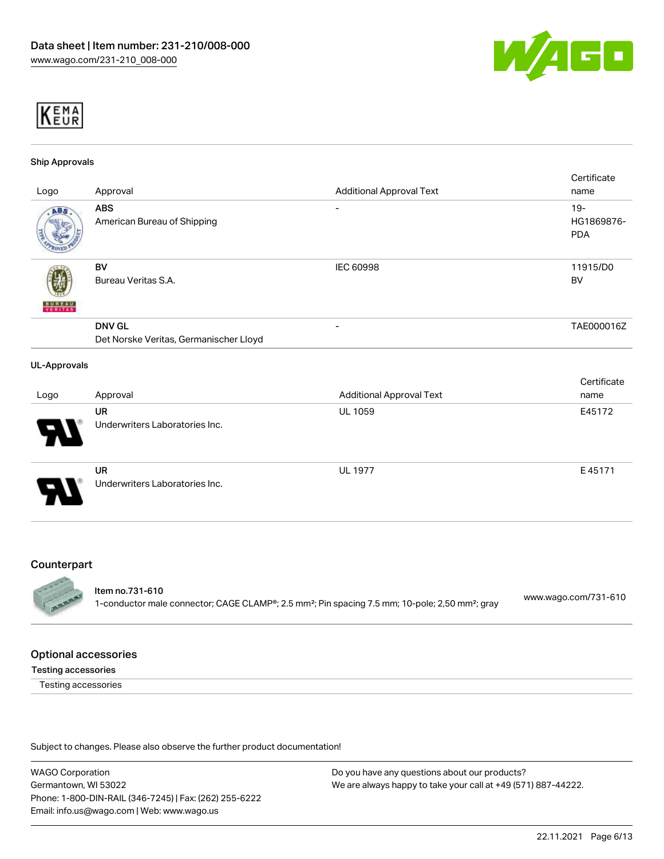



#### Ship Approvals

| Logo                                  | Approval                                                | <b>Additional Approval Text</b> | Certificate<br>name                |
|---------------------------------------|---------------------------------------------------------|---------------------------------|------------------------------------|
| ABS                                   | <b>ABS</b><br>American Bureau of Shipping               | $\overline{\phantom{a}}$        | $19 -$<br>HG1869876-<br><b>PDA</b> |
| <b>BUNEAU</b><br><mark>Veritas</mark> | <b>BV</b><br>Bureau Veritas S.A.                        | <b>IEC 60998</b>                | 11915/D0<br><b>BV</b>              |
|                                       | <b>DNV GL</b><br>Det Norske Veritas, Germanischer Lloyd |                                 | TAE000016Z                         |
| <b>UL-Approvals</b>                   |                                                         |                                 |                                    |
|                                       |                                                         |                                 | Certificate                        |
| Logo                                  | Approval                                                | <b>Additional Approval Text</b> | name                               |
|                                       | <b>UR</b><br>Underwriters Laboratories Inc.             | UL 1059                         | E45172                             |
|                                       | <b>UR</b><br>Underwriters Laboratories Inc.             | <b>UL 1977</b>                  | E45171                             |

#### **Counterpart**



## Item no.731-610

1-conductor male connector; CAGE CLAMP®; 2.5 mm²; Pin spacing 7.5 mm; 10-pole; 2,50 mm²; gray [www.wago.com/731-610](https://www.wago.com/731-610)

#### Optional accessories

#### Testing accessories

Testing accessories

Subject to changes. Please also observe the further product documentation!

WAGO Corporation Germantown, WI 53022 Phone: 1-800-DIN-RAIL (346-7245) | Fax: (262) 255-6222 Email: info.us@wago.com | Web: www.wago.us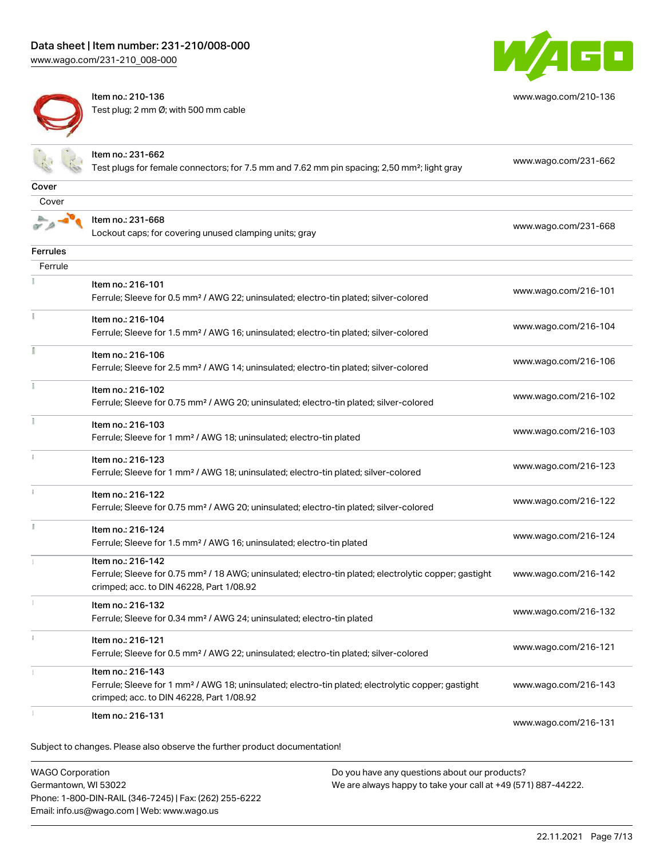

Item no.: 210-136 Test plug; 2 mm Ø; with 500 mm cable



[www.wago.com/210-136](http://www.wago.com/210-136)

|                         | Item no.: 231-662<br>Test plugs for female connectors; for 7.5 mm and 7.62 mm pin spacing; 2,50 mm²; light gray                                                                    | www.wago.com/231-662 |
|-------------------------|------------------------------------------------------------------------------------------------------------------------------------------------------------------------------------|----------------------|
| Cover                   |                                                                                                                                                                                    |                      |
| Cover                   |                                                                                                                                                                                    |                      |
|                         | Item no.: 231-668<br>Lockout caps; for covering unused clamping units; gray                                                                                                        | www.wago.com/231-668 |
| Ferrules                |                                                                                                                                                                                    |                      |
| Ferrule                 |                                                                                                                                                                                    |                      |
|                         | Item no.: 216-101<br>Ferrule; Sleeve for 0.5 mm <sup>2</sup> / AWG 22; uninsulated; electro-tin plated; silver-colored                                                             | www.wago.com/216-101 |
| Ť                       | Item no.: 216-104<br>Ferrule; Sleeve for 1.5 mm <sup>2</sup> / AWG 16; uninsulated; electro-tin plated; silver-colored                                                             | www.wago.com/216-104 |
|                         | Item no.: 216-106<br>Ferrule; Sleeve for 2.5 mm <sup>2</sup> / AWG 14; uninsulated; electro-tin plated; silver-colored                                                             | www.wago.com/216-106 |
|                         | Item no.: 216-102<br>Ferrule; Sleeve for 0.75 mm <sup>2</sup> / AWG 20; uninsulated; electro-tin plated; silver-colored                                                            | www.wago.com/216-102 |
| ł                       | Item no.: 216-103<br>Ferrule; Sleeve for 1 mm <sup>2</sup> / AWG 18; uninsulated; electro-tin plated                                                                               | www.wago.com/216-103 |
|                         | Item no.: 216-123<br>Ferrule; Sleeve for 1 mm <sup>2</sup> / AWG 18; uninsulated; electro-tin plated; silver-colored                                                               | www.wago.com/216-123 |
|                         | Item no.: 216-122<br>Ferrule; Sleeve for 0.75 mm <sup>2</sup> / AWG 20; uninsulated; electro-tin plated; silver-colored                                                            | www.wago.com/216-122 |
|                         | Item no.: 216-124<br>Ferrule; Sleeve for 1.5 mm <sup>2</sup> / AWG 16; uninsulated; electro-tin plated                                                                             | www.wago.com/216-124 |
|                         | Item no.: 216-142<br>Ferrule; Sleeve for 0.75 mm <sup>2</sup> / 18 AWG; uninsulated; electro-tin plated; electrolytic copper; gastight<br>crimped; acc. to DIN 46228, Part 1/08.92 | www.wago.com/216-142 |
|                         | Item no.: 216-132<br>Ferrule; Sleeve for 0.34 mm <sup>2</sup> / AWG 24; uninsulated; electro-tin plated                                                                            | www.wago.com/216-132 |
| $\frac{1}{3}$           | Item no.: 216-121<br>Ferrule; Sleeve for 0.5 mm <sup>2</sup> / AWG 22; uninsulated; electro-tin plated; silver-colored                                                             | www.wago.com/216-121 |
|                         | Item no.: 216-143<br>Ferrule; Sleeve for 1 mm <sup>2</sup> / AWG 18; uninsulated; electro-tin plated; electrolytic copper; gastight<br>crimped; acc. to DIN 46228, Part 1/08.92    | www.wago.com/216-143 |
|                         | Item no.: 216-131                                                                                                                                                                  | www.wago.com/216-131 |
|                         | Subject to changes. Please also observe the further product documentation!                                                                                                         |                      |
| <b>WAGO Corporation</b> | Do you have any questions about our products?                                                                                                                                      |                      |

Germantown, WI 53022 Phone: 1-800-DIN-RAIL (346-7245) | Fax: (262) 255-6222 Email: info.us@wago.com | Web: www.wago.us

We are always happy to take your call at +49 (571) 887-44222.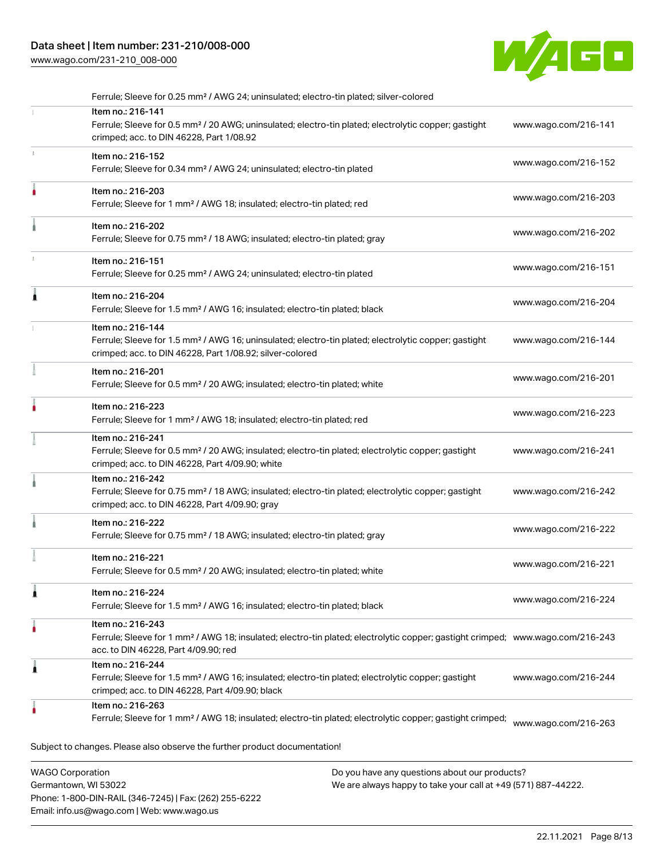# Data sheet | Item number: 231-210/008-000

[www.wago.com/231-210\\_008-000](http://www.wago.com/231-210_008-000)



| Ferrule; Sleeve for 0.25 mm <sup>2</sup> / AWG 24; uninsulated; electro-tin plated; silver-colored                                                                                                      |                      |
|---------------------------------------------------------------------------------------------------------------------------------------------------------------------------------------------------------|----------------------|
| Item no.: 216-141<br>Ferrule; Sleeve for 0.5 mm <sup>2</sup> / 20 AWG; uninsulated; electro-tin plated; electrolytic copper; gastight<br>crimped; acc. to DIN 46228, Part 1/08.92                       | www.wago.com/216-141 |
| Item no.: 216-152<br>Ferrule; Sleeve for 0.34 mm <sup>2</sup> / AWG 24; uninsulated; electro-tin plated                                                                                                 | www.wago.com/216-152 |
| Item no.: 216-203<br>Ferrule; Sleeve for 1 mm <sup>2</sup> / AWG 18; insulated; electro-tin plated; red                                                                                                 | www.wago.com/216-203 |
| Item no.: 216-202<br>Ferrule; Sleeve for 0.75 mm <sup>2</sup> / 18 AWG; insulated; electro-tin plated; gray                                                                                             | www.wago.com/216-202 |
| Item no.: 216-151<br>Ferrule; Sleeve for 0.25 mm <sup>2</sup> / AWG 24; uninsulated; electro-tin plated                                                                                                 | www.wago.com/216-151 |
| Item no.: 216-204<br>Ferrule; Sleeve for 1.5 mm <sup>2</sup> / AWG 16; insulated; electro-tin plated; black                                                                                             | www.wago.com/216-204 |
| Item no.: 216-144<br>Ferrule; Sleeve for 1.5 mm <sup>2</sup> / AWG 16; uninsulated; electro-tin plated; electrolytic copper; gastight<br>crimped; acc. to DIN 46228, Part 1/08.92; silver-colored       | www.wago.com/216-144 |
| Item no.: 216-201<br>Ferrule; Sleeve for 0.5 mm <sup>2</sup> / 20 AWG; insulated; electro-tin plated; white                                                                                             | www.wago.com/216-201 |
| Item no.: 216-223<br>Ferrule; Sleeve for 1 mm <sup>2</sup> / AWG 18; insulated; electro-tin plated; red                                                                                                 | www.wago.com/216-223 |
| Item no.: 216-241<br>Ferrule; Sleeve for 0.5 mm <sup>2</sup> / 20 AWG; insulated; electro-tin plated; electrolytic copper; gastight<br>crimped; acc. to DIN 46228, Part 4/09.90; white                  | www.wago.com/216-241 |
| Item no.: 216-242<br>Ferrule; Sleeve for 0.75 mm <sup>2</sup> / 18 AWG; insulated; electro-tin plated; electrolytic copper; gastight<br>crimped; acc. to DIN 46228, Part 4/09.90; gray                  | www.wago.com/216-242 |
| Item no.: 216-222<br>Ferrule; Sleeve for 0.75 mm <sup>2</sup> / 18 AWG; insulated; electro-tin plated; gray                                                                                             | www.wago.com/216-222 |
| Item no.: 216-221<br>Ferrule; Sleeve for 0.5 mm <sup>2</sup> / 20 AWG; insulated; electro-tin plated; white                                                                                             | www.wago.com/216-221 |
| Item no.: 216-224<br>Ferrule; Sleeve for 1.5 mm <sup>2</sup> / AWG 16; insulated; electro-tin plated; black                                                                                             | www.wago.com/216-224 |
| Item no.: 216-243<br>Ferrule; Sleeve for 1 mm <sup>2</sup> / AWG 18; insulated; electro-tin plated; electrolytic copper; gastight crimped; www.wago.com/216-243<br>acc. to DIN 46228, Part 4/09.90; red |                      |
| Item no.: 216-244<br>Ferrule; Sleeve for 1.5 mm <sup>2</sup> / AWG 16; insulated; electro-tin plated; electrolytic copper; gastight                                                                     | www.wago.com/216-244 |
| crimped; acc. to DIN 46228, Part 4/09.90; black                                                                                                                                                         |                      |
|                                                                                                                                                                                                         |                      |

WAGO Corporation Germantown, WI 53022 Phone: 1-800-DIN-RAIL (346-7245) | Fax: (262) 255-6222 Email: info.us@wago.com | Web: www.wago.us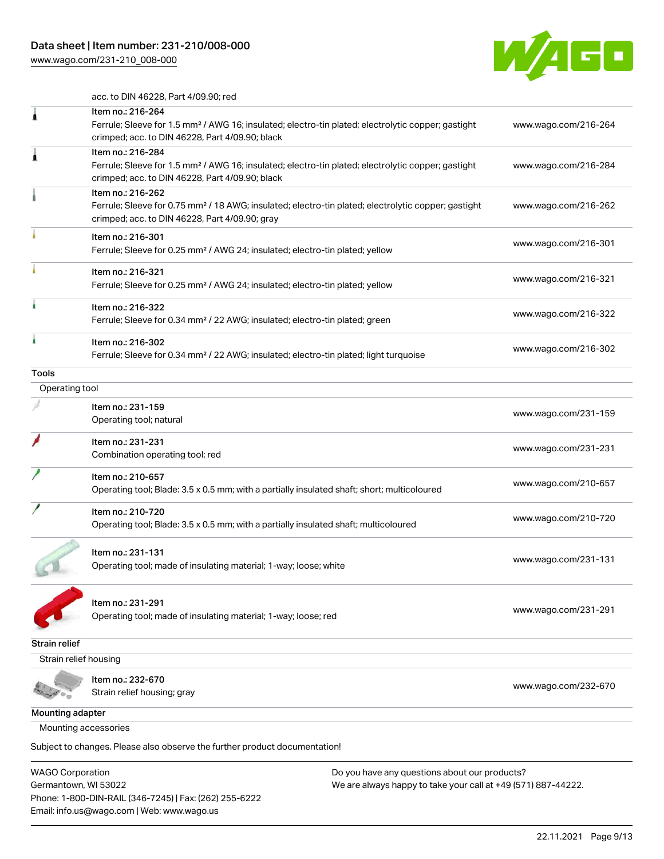

acc. to DIN 46228, Part 4/09.90; red

|                       | Item no.: 216-264                                                                                               |                      |
|-----------------------|-----------------------------------------------------------------------------------------------------------------|----------------------|
|                       | Ferrule; Sleeve for 1.5 mm <sup>2</sup> / AWG 16; insulated; electro-tin plated; electrolytic copper; gastight  | www.wago.com/216-264 |
|                       | crimped; acc. to DIN 46228, Part 4/09.90; black                                                                 |                      |
|                       | Item no.: 216-284                                                                                               |                      |
| 1                     | Ferrule; Sleeve for 1.5 mm <sup>2</sup> / AWG 16; insulated; electro-tin plated; electrolytic copper; gastight  | www.wago.com/216-284 |
|                       | crimped; acc. to DIN 46228, Part 4/09.90; black                                                                 |                      |
|                       | Item no.: 216-262                                                                                               |                      |
|                       | Ferrule; Sleeve for 0.75 mm <sup>2</sup> / 18 AWG; insulated; electro-tin plated; electrolytic copper; gastight | www.wago.com/216-262 |
|                       | crimped; acc. to DIN 46228, Part 4/09.90; gray                                                                  |                      |
|                       | Item no.: 216-301                                                                                               |                      |
|                       | Ferrule; Sleeve for 0.25 mm <sup>2</sup> / AWG 24; insulated; electro-tin plated; yellow                        | www.wago.com/216-301 |
|                       | Item no.: 216-321                                                                                               |                      |
|                       | Ferrule; Sleeve for 0.25 mm <sup>2</sup> / AWG 24; insulated; electro-tin plated; yellow                        | www.wago.com/216-321 |
|                       | Item no.: 216-322                                                                                               |                      |
|                       | Ferrule; Sleeve for 0.34 mm <sup>2</sup> / 22 AWG; insulated; electro-tin plated; green                         | www.wago.com/216-322 |
|                       | Item no.: 216-302                                                                                               |                      |
|                       | Ferrule; Sleeve for 0.34 mm <sup>2</sup> / 22 AWG; insulated; electro-tin plated; light turquoise               | www.wago.com/216-302 |
| Tools                 |                                                                                                                 |                      |
| Operating tool        |                                                                                                                 |                      |
|                       | Item no.: 231-159                                                                                               |                      |
|                       | Operating tool; natural                                                                                         | www.wago.com/231-159 |
|                       | Item no.: 231-231                                                                                               |                      |
|                       | Combination operating tool; red                                                                                 | www.wago.com/231-231 |
|                       | Item no.: 210-657                                                                                               |                      |
|                       | Operating tool; Blade: 3.5 x 0.5 mm; with a partially insulated shaft; short; multicoloured                     | www.wago.com/210-657 |
|                       | Item no.: 210-720                                                                                               |                      |
|                       | Operating tool; Blade: 3.5 x 0.5 mm; with a partially insulated shaft; multicoloured                            | www.wago.com/210-720 |
|                       | Item no.: 231-131                                                                                               |                      |
|                       | Operating tool; made of insulating material; 1-way; loose; white                                                | www.wago.com/231-131 |
|                       |                                                                                                                 |                      |
|                       | Item no.: 231-291                                                                                               |                      |
|                       | Operating tool; made of insulating material; 1-way; loose; red                                                  | www.wago.com/231-291 |
|                       |                                                                                                                 |                      |
| Strain relief         |                                                                                                                 |                      |
| Strain relief housing |                                                                                                                 |                      |
|                       | Item no.: 232-670                                                                                               |                      |
|                       | Strain relief housing; gray                                                                                     | www.wago.com/232-670 |
| Mounting adapter      |                                                                                                                 |                      |
| Mounting accessories  |                                                                                                                 |                      |
|                       | Subject to changes. Please also observe the further product documentation!                                      |                      |
|                       |                                                                                                                 |                      |

WAGO Corporation Germantown, WI 53022 Phone: 1-800-DIN-RAIL (346-7245) | Fax: (262) 255-6222 Email: info.us@wago.com | Web: www.wago.us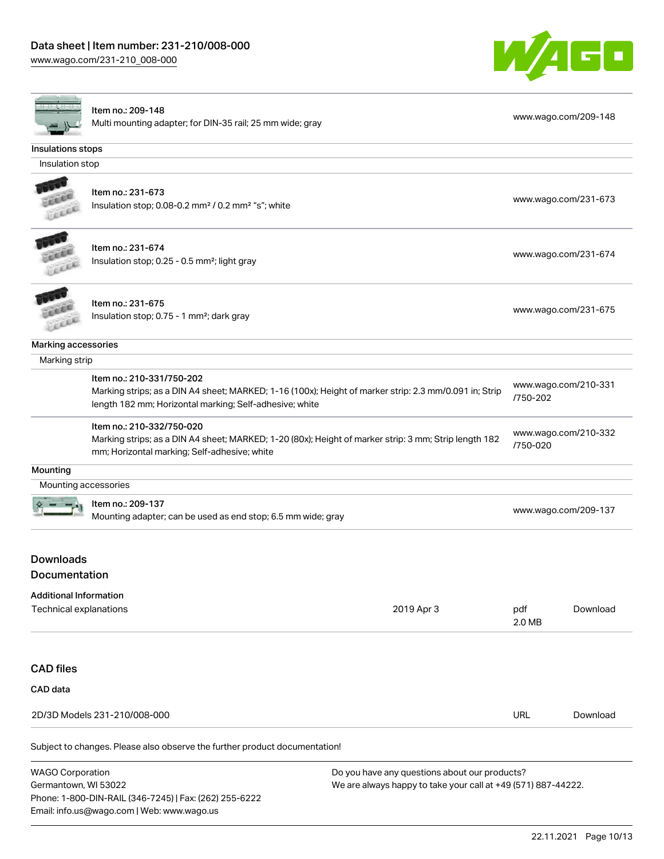Email: info.us@wago.com | Web: www.wago.us

[www.wago.com/231-210\\_008-000](http://www.wago.com/231-210_008-000)



|                                   | Item no.: 209-148<br>Multi mounting adapter; for DIN-35 rail; 25 mm wide; gray                                                                                                                 |                                                               |                                  | www.wago.com/209-148 |
|-----------------------------------|------------------------------------------------------------------------------------------------------------------------------------------------------------------------------------------------|---------------------------------------------------------------|----------------------------------|----------------------|
| Insulations stops                 |                                                                                                                                                                                                |                                                               |                                  |                      |
| Insulation stop                   |                                                                                                                                                                                                |                                                               |                                  |                      |
| FLEET                             | Item no.: 231-673<br>Insulation stop; 0.08-0.2 mm <sup>2</sup> / 0.2 mm <sup>2</sup> "s"; white                                                                                                |                                                               |                                  | www.wago.com/231-673 |
|                                   | Item no.: 231-674<br>Insulation stop; 0.25 - 0.5 mm <sup>2</sup> ; light gray                                                                                                                  |                                                               |                                  | www.wago.com/231-674 |
|                                   | Item no.: 231-675<br>Insulation stop; 0.75 - 1 mm <sup>2</sup> ; dark gray                                                                                                                     |                                                               |                                  | www.wago.com/231-675 |
| Marking accessories               |                                                                                                                                                                                                |                                                               |                                  |                      |
| Marking strip                     |                                                                                                                                                                                                |                                                               |                                  |                      |
|                                   | Item no.: 210-331/750-202<br>Marking strips; as a DIN A4 sheet; MARKED; 1-16 (100x); Height of marker strip: 2.3 mm/0.091 in; Strip<br>length 182 mm; Horizontal marking; Self-adhesive; white |                                                               | /750-202                         | www.wago.com/210-331 |
|                                   | Item no.: 210-332/750-020<br>Marking strips; as a DIN A4 sheet; MARKED; 1-20 (80x); Height of marker strip: 3 mm; Strip length 182<br>mm; Horizontal marking; Self-adhesive; white             |                                                               | www.wago.com/210-332<br>/750-020 |                      |
| Mounting                          |                                                                                                                                                                                                |                                                               |                                  |                      |
| Mounting accessories              |                                                                                                                                                                                                |                                                               |                                  |                      |
|                                   | Item no.: 209-137<br>Mounting adapter; can be used as end stop; 6.5 mm wide; gray                                                                                                              |                                                               |                                  | www.wago.com/209-137 |
| <b>Downloads</b><br>Documentation |                                                                                                                                                                                                |                                                               |                                  |                      |
| <b>Additional Information</b>     |                                                                                                                                                                                                |                                                               |                                  |                      |
| Technical explanations            |                                                                                                                                                                                                | 2019 Apr 3                                                    | pdf<br>2.0 MB                    | Download             |
| <b>CAD files</b>                  |                                                                                                                                                                                                |                                                               |                                  |                      |
| CAD data                          |                                                                                                                                                                                                |                                                               |                                  |                      |
|                                   | 2D/3D Models 231-210/008-000                                                                                                                                                                   |                                                               | <b>URL</b>                       | Download             |
|                                   | Subject to changes. Please also observe the further product documentation!                                                                                                                     |                                                               |                                  |                      |
| <b>WAGO Corporation</b>           |                                                                                                                                                                                                | Do you have any questions about our products?                 |                                  |                      |
| Germantown, WI 53022              | Phone: 1-800-DIN-RAIL (346-7245)   Fax: (262) 255-6222                                                                                                                                         | We are always happy to take your call at +49 (571) 887-44222. |                                  |                      |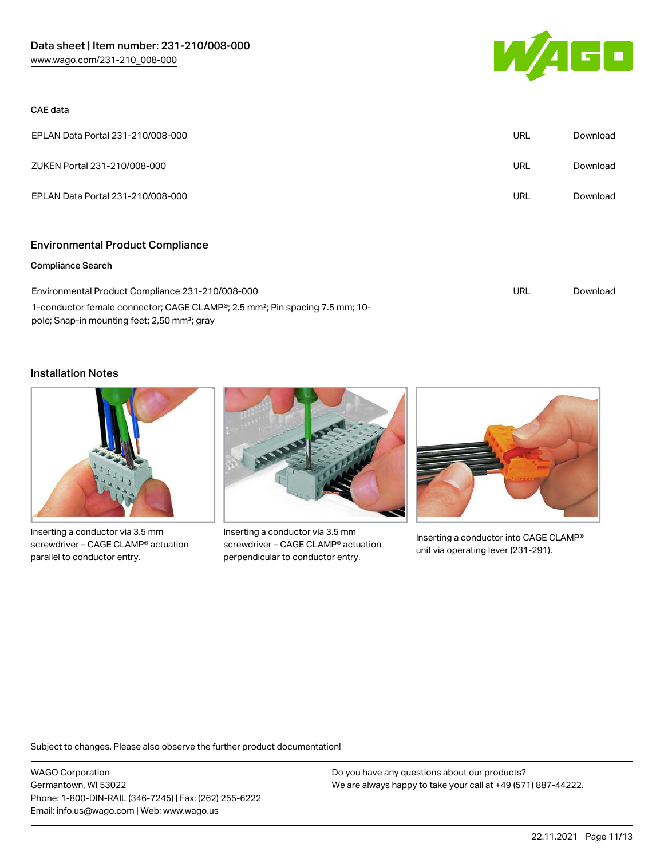

#### CAE data

| EPLAN Data Portal 231-210/008-000 | URL | Download |
|-----------------------------------|-----|----------|
| ZUKEN Portal 231-210/008-000      | URL | Download |
| EPLAN Data Portal 231-210/008-000 | URL | Download |

## Environmental Product Compliance

#### Compliance Search

| Environmental Product Compliance 231-210/008-000                                                      | URL | Download |
|-------------------------------------------------------------------------------------------------------|-----|----------|
| 1-conductor female connector; CAGE CLAMP <sup>®</sup> ; 2.5 mm <sup>2</sup> ; Pin spacing 7.5 mm; 10- |     |          |
| pole; Snap-in mounting feet; 2,50 mm <sup>2</sup> ; gray                                              |     |          |

## Installation Notes



Inserting a conductor via 3.5 mm screwdriver – CAGE CLAMP® actuation parallel to conductor entry.



Inserting a conductor via 3.5 mm screwdriver – CAGE CLAMP® actuation perpendicular to conductor entry.



Inserting a conductor into CAGE CLAMP® unit via operating lever (231-291).

Subject to changes. Please also observe the further product documentation!

WAGO Corporation Germantown, WI 53022 Phone: 1-800-DIN-RAIL (346-7245) | Fax: (262) 255-6222 Email: info.us@wago.com | Web: www.wago.us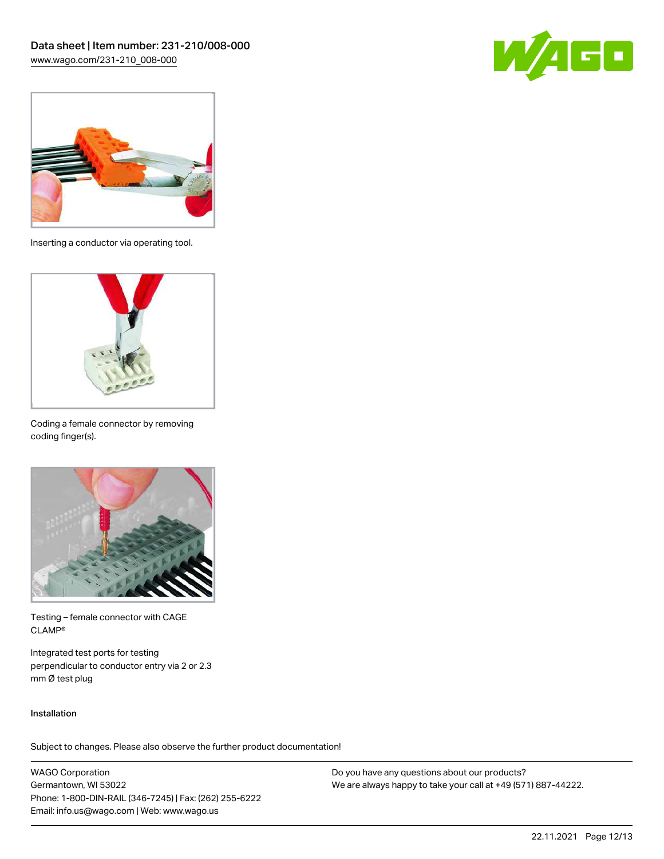



Inserting a conductor via operating tool.



Coding a female connector by removing coding finger(s).



Testing – female connector with CAGE CLAMP®

Integrated test ports for testing perpendicular to conductor entry via 2 or 2.3 mm Ø test plug

#### Installation

Subject to changes. Please also observe the further product documentation!

WAGO Corporation Germantown, WI 53022 Phone: 1-800-DIN-RAIL (346-7245) | Fax: (262) 255-6222 Email: info.us@wago.com | Web: www.wago.us